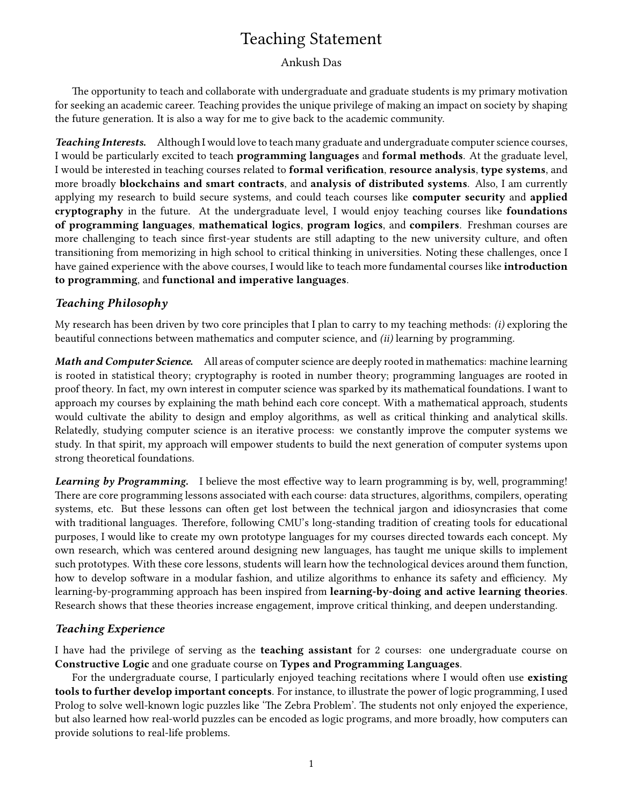# Teaching Statement

## Ankush Das

The opportunity to teach and collaborate with undergraduate and graduate students is my primary motivation for seeking an academic career. Teaching provides the unique privilege of making an impact on society by shaping the future generation. It is also a way for me to give back to the academic community.

Teaching Interests. Although I would love to teach many graduate and undergraduate computer science courses, I would be particularly excited to teach programming languages and formal methods. At the graduate level, I would be interested in teaching courses related to **formal verification, resource analysis, type systems**, and more broadly blockchains and smart contracts, and analysis of distributed systems. Also, I am currently applying my research to build secure systems, and could teach courses like **computer security** and **applied** cryptography in the future. At the undergraduate level, I would enjoy teaching courses like foundations of programming languages, mathematical logics, program logics, and compilers. Freshman courses are more challenging to teach since first-year students are still adapting to the new university culture, and often transitioning from memorizing in high school to critical thinking in universities. Noting these challenges, once I have gained experience with the above courses, I would like to teach more fundamental courses like introduction to programming, and functional and imperative languages.

# Teaching Philosophy

My research has been driven by two core principles that I plan to carry to my teaching methods:  $(i)$  exploring the beautiful connections between mathematics and computer science, and (ii) learning by programming.

Math and Computer Science. All areas of computer science are deeply rooted in mathematics: machine learning is rooted in statistical theory; cryptography is rooted in number theory; programming languages are rooted in proof theory. In fact, my own interest in computer science was sparked by its mathematical foundations. I want to approach my courses by explaining the math behind each core concept. With a mathematical approach, students would cultivate the ability to design and employ algorithms, as well as critical thinking and analytical skills. Relatedly, studying computer science is an iterative process: we constantly improve the computer systems we study. In that spirit, my approach will empower students to build the next generation of computer systems upon strong theoretical foundations.

Learning by Programming. I believe the most effective way to learn programming is by, well, programming! There are core programming lessons associated with each course: data structures, algorithms, compilers, operating systems, etc. But these lessons can often get lost between the technical jargon and idiosyncrasies that come with traditional languages. Therefore, following CMU's long-standing tradition of creating tools for educational purposes, I would like to create my own prototype languages for my courses directed towards each concept. My own research, which was centered around designing new languages, has taught me unique skills to implement such prototypes. With these core lessons, students will learn how the technological devices around them function, how to develop software in a modular fashion, and utilize algorithms to enhance its safety and efficiency. My learning-by-programming approach has been inspired from learning-by-doing and active learning theories. Research shows that these theories increase engagement, improve critical thinking, and deepen understanding.

### Teaching Experience

I have had the privilege of serving as the teaching assistant for 2 courses: one undergraduate course on Constructive Logic and one graduate course on Types and Programming Languages.

For the undergraduate course, I particularly enjoyed teaching recitations where I would often use **existing** tools to further develop important concepts. For instance, to illustrate the power of logic programming, I used Prolog to solve well-known logic puzzles like 'The Zebra Problem'. The students not only enjoyed the experience, but also learned how real-world puzzles can be encoded as logic programs, and more broadly, how computers can provide solutions to real-life problems.